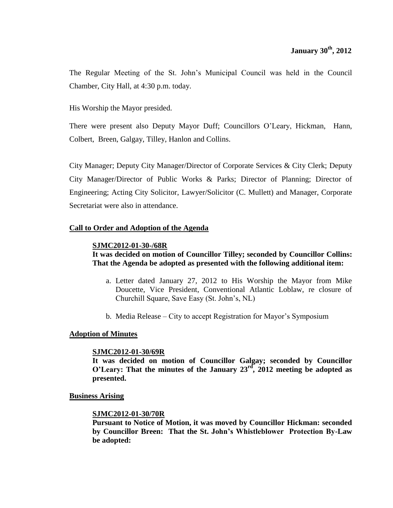The Regular Meeting of the St. John's Municipal Council was held in the Council Chamber, City Hall, at 4:30 p.m. today.

His Worship the Mayor presided.

There were present also Deputy Mayor Duff; Councillors O'Leary, Hickman, Hann, Colbert, Breen, Galgay, Tilley, Hanlon and Collins.

City Manager; Deputy City Manager/Director of Corporate Services & City Clerk; Deputy City Manager/Director of Public Works & Parks; Director of Planning; Director of Engineering; Acting City Solicitor, Lawyer/Solicitor (C. Mullett) and Manager, Corporate Secretariat were also in attendance.

## **Call to Order and Adoption of the Agenda**

## **SJMC2012-01-30-/68R**

## **It was decided on motion of Councillor Tilley; seconded by Councillor Collins: That the Agenda be adopted as presented with the following additional item:**

- a. Letter dated January 27, 2012 to His Worship the Mayor from Mike Doucette, Vice President, Conventional Atlantic Loblaw, re closure of Churchill Square, Save Easy (St. John's, NL)
- b. Media Release City to accept Registration for Mayor's Symposium

## **Adoption of Minutes**

## **SJMC2012-01-30/69R**

**It was decided on motion of Councillor Galgay; seconded by Councillor O'Leary: That the minutes of the January 23rd , 2012 meeting be adopted as presented.**

**Business Arising**

## **SJMC2012-01-30/70R**

**Pursuant to Notice of Motion, it was moved by Councillor Hickman: seconded by Councillor Breen: That the St. John's Whistleblower Protection By-Law be adopted:**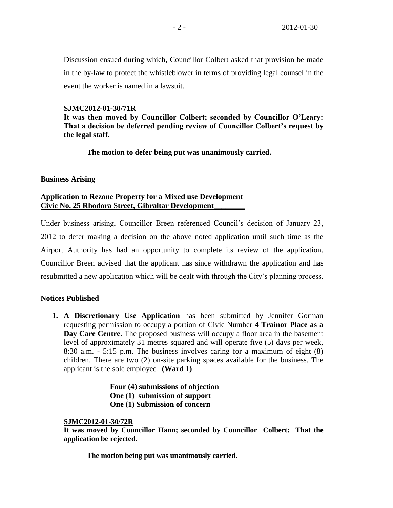Discussion ensued during which, Councillor Colbert asked that provision be made in the by-law to protect the whistleblower in terms of providing legal counsel in the event the worker is named in a lawsuit.

#### **SJMC2012-01-30/71R**

**It was then moved by Councillor Colbert; seconded by Councillor O'Leary: That a decision be deferred pending review of Councillor Colbert's request by the legal staff.**

**The motion to defer being put was unanimously carried.** 

#### **Business Arising**

# **Application to Rezone Property for a Mixed use Development Civic No. 25 Rhodora Street, Gibraltar Development\_\_\_\_\_\_\_\_**

Under business arising, Councillor Breen referenced Council's decision of January 23, 2012 to defer making a decision on the above noted application until such time as the Airport Authority has had an opportunity to complete its review of the application. Councillor Breen advised that the applicant has since withdrawn the application and has resubmitted a new application which will be dealt with through the City's planning process.

## **Notices Published**

**1. A Discretionary Use Application** has been submitted by Jennifer Gorman requesting permission to occupy a portion of Civic Number **4 Trainor Place as a Day Care Centre.** The proposed business will occupy a floor area in the basement level of approximately 31 metres squared and will operate five (5) days per week, 8:30 a.m. - 5:15 p.m. The business involves caring for a maximum of eight (8) children. There are two (2) on-site parking spaces available for the business. The applicant is the sole employee. **(Ward 1)**

> **Four (4) submissions of objection One (1) submission of support One (1) Submission of concern**

#### **SJMC2012-01-30/72R**

**It was moved by Councillor Hann; seconded by Councillor Colbert: That the application be rejected.**

**The motion being put was unanimously carried.**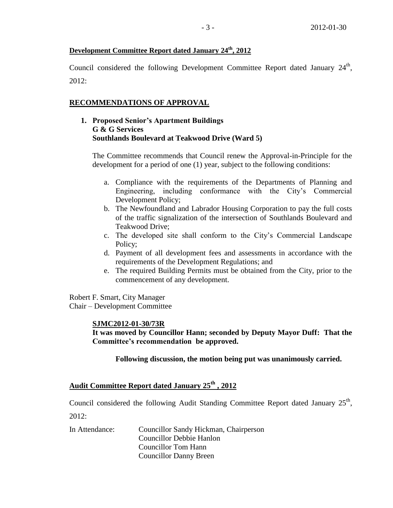# **Development Committee Report dated January 24th, 2012**

Council considered the following Development Committee Report dated January  $24<sup>th</sup>$ , 2012:

# **RECOMMENDATIONS OF APPROVAL**

# **1. Proposed Senior's Apartment Buildings G & G Services Southlands Boulevard at Teakwood Drive (Ward 5)**

The Committee recommends that Council renew the Approval-in-Principle for the development for a period of one (1) year, subject to the following conditions:

- a. Compliance with the requirements of the Departments of Planning and Engineering, including conformance with the City's Commercial Development Policy;
- b. The Newfoundland and Labrador Housing Corporation to pay the full costs of the traffic signalization of the intersection of Southlands Boulevard and Teakwood Drive;
- c. The developed site shall conform to the City's Commercial Landscape Policy;
- d. Payment of all development fees and assessments in accordance with the requirements of the Development Regulations; and
- e. The required Building Permits must be obtained from the City, prior to the commencement of any development.

Robert F. Smart, City Manager Chair – Development Committee

## **SJMC2012-01-30/73R**

**It was moved by Councillor Hann; seconded by Deputy Mayor Duff: That the Committee's recommendation be approved.**

**Following discussion, the motion being put was unanimously carried.**

# **Audit Committee Report dated January 25th , 2012**

Council considered the following Audit Standing Committee Report dated January  $25<sup>th</sup>$ ,  $2012:$ 

In Attendance: Councillor Sandy Hickman, Chairperson Councillor Debbie Hanlon Councillor Tom Hann Councillor Danny Breen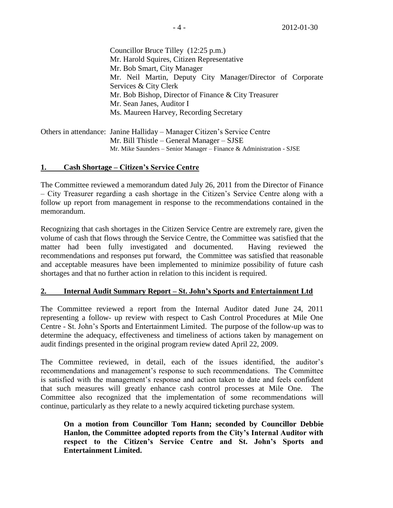Councillor Bruce Tilley (12:25 p.m.) Mr. Harold Squires, Citizen Representative Mr. Bob Smart, City Manager Mr. Neil Martin, Deputy City Manager/Director of Corporate Services & City Clerk Mr. Bob Bishop, Director of Finance & City Treasurer Mr. Sean Janes, Auditor I Ms. Maureen Harvey, Recording Secretary

Others in attendance: Janine Halliday – Manager Citizen's Service Centre Mr. Bill Thistle – General Manager – SJSE Mr. Mike Saunders – Senior Manager – Finance & Administration - SJSE

## **1. Cash Shortage – Citizen's Service Centre**

The Committee reviewed a memorandum dated July 26, 2011 from the Director of Finance – City Treasurer regarding a cash shortage in the Citizen's Service Centre along with a follow up report from management in response to the recommendations contained in the memorandum.

Recognizing that cash shortages in the Citizen Service Centre are extremely rare, given the volume of cash that flows through the Service Centre, the Committee was satisfied that the matter had been fully investigated and documented. Having reviewed the recommendations and responses put forward, the Committee was satisfied that reasonable and acceptable measures have been implemented to minimize possibility of future cash shortages and that no further action in relation to this incident is required.

## **2. Internal Audit Summary Report – St. John's Sports and Entertainment Ltd**

The Committee reviewed a report from the Internal Auditor dated June 24, 2011 representing a follow- up review with respect to Cash Control Procedures at Mile One Centre - St. John's Sports and Entertainment Limited. The purpose of the follow-up was to determine the adequacy, effectiveness and timeliness of actions taken by management on audit findings presented in the original program review dated April 22, 2009.

The Committee reviewed, in detail, each of the issues identified, the auditor's recommendations and management's response to such recommendations. The Committee is satisfied with the management's response and action taken to date and feels confident that such measures will greatly enhance cash control processes at Mile One. The Committee also recognized that the implementation of some recommendations will continue, particularly as they relate to a newly acquired ticketing purchase system.

**On a motion from Councillor Tom Hann; seconded by Councillor Debbie Hanlon, the Committee adopted reports from the City's Internal Auditor with respect to the Citizen's Service Centre and St. John's Sports and Entertainment Limited.**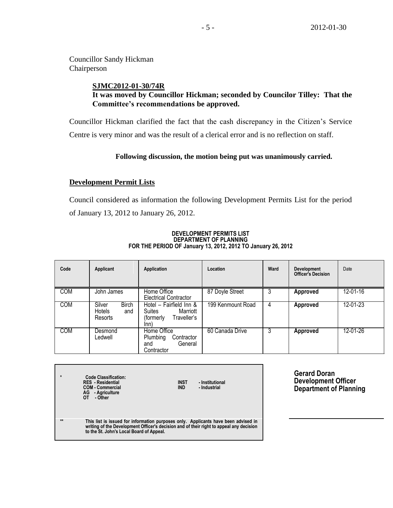Councillor Sandy Hickman Chairperson

## **SJMC2012-01-30/74R It was moved by Councillor Hickman; seconded by Councilor Tilley: That the Committee's recommendations be approved.**

Councillor Hickman clarified the fact that the cash discrepancy in the Citizen's Service Centre is very minor and was the result of a clerical error and is no reflection on staff.

#### **Following discussion, the motion being put was unanimously carried.**

#### **Development Permit Lists**

Council considered as information the following Development Permits List for the period of January 13, 2012 to January 26, 2012.

#### **Code Applicant Application Location Ward Development Officer's Decision** Date COM John James Home Office Electrical Contractor 87 Doyle Street 3 **Approved** 12-01-16 COM Silver Birch<br>
Hotels and Hotels Resorts Hotel – Fairfield Inn & Suites Marriott<br>(formerly Traveller's Traveller's  $lnn)$ 199 Kenmount Road 4 **Approved** 12-01-23 COM Desmond Ledwell Home Office<br>Plumbing Contractor Plumbing and General **Contractor** 60 Canada Drive 3 **Approved** 12-01-26

#### **DEVELOPMENT PERMITS LIST DEPARTMENT OF PLANNING FOR THE PERIOD OF January 13, 2012, 2012 TO January 26, 2012**

| $\star$ | <b>Code Classification:</b><br><b>RES</b> - Residential<br><b>COM - Commercial</b><br>AG - Agriculture<br>ΩT<br>- Other                                                                                                   | <b>INST</b><br><b>IND</b> | - Institutional<br>- Industrial |
|---------|---------------------------------------------------------------------------------------------------------------------------------------------------------------------------------------------------------------------------|---------------------------|---------------------------------|
| $**$    | This list is issued for information purposes only. Applicants have been advised in<br>writing of the Development Officer's decision and of their right to appeal any decision<br>to the St. John's Local Board of Appeal. |                           |                                 |

**Gerard Doran Development Officer Department of Planning**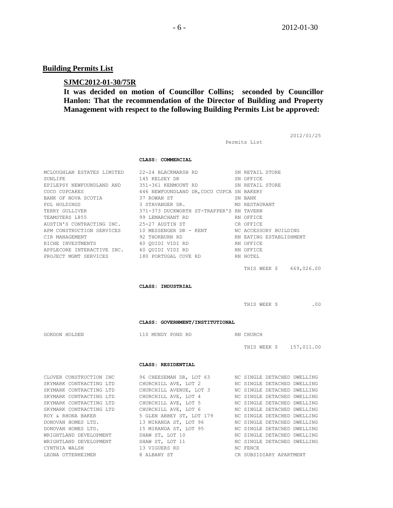2012/01/25

# **Building Permits List**

## **SJMC2012-01-30/75R**

# **It was decided on motion of Councillor Collins; seconded by Councillor Hanlon: That the recommendation of the Director of Building and Property Management with respect to the following Building Permits List be approved:**

|                                                               |                                                                                                                                                                                                          | Permits List                |     |
|---------------------------------------------------------------|----------------------------------------------------------------------------------------------------------------------------------------------------------------------------------------------------------|-----------------------------|-----|
|                                                               | CLASS: COMMERCIAL                                                                                                                                                                                        |                             |     |
|                                                               | MCLOUGHLAN ESTATES LIMITED 22-24 BLACKMARSH RD SN RETAIL STORE                                                                                                                                           |                             |     |
| SUNLIFE                                                       | 145 KELSEY DR                                                                                                                                                                                            | SN OFFICE                   |     |
|                                                               | EPILEPSY NEWFOUNDLAND AND 351-361 KENMOUNT RD SN RETAIL STORE                                                                                                                                            |                             |     |
| COCO CUPCAKES                                                 | 446 NEWFOUNDLAND DR, COCO CUPCA SN BAKERY                                                                                                                                                                |                             |     |
| BANK OF NOVA SCOTIA                                           | 37 ROWAN ST                                                                                                                                                                                              | SN BANK                     |     |
| PDL HOLDINGS                                                  | 3 STAVANGER DR.                                                                                                                                                                                          | MS RESTAURANT               |     |
| TERRY GULLIVER                                                | MS RESTAURNGER DR. MS RESTAUR<br>371-373 DUCKWORTH ST-TRAPPER'S RN TAVERN                                                                                                                                |                             |     |
| TEAMSTERS L855<br>AUSTIN'S CONTRACTING INC.                   | 99 LEMARCHANT RD<br>25-27 AUSTIN ST                                                                                                                                                                      | RN OFFICE                   |     |
|                                                               |                                                                                                                                                                                                          | CR OFFICE                   |     |
|                                                               | APM CONSTRUCTION SERVICES $10$ MESSENGER DR - KENT NC ACCESSORY BUILDING                                                                                                                                 |                             |     |
| CIR MANAGEMENT<br>RICHE INVESTMENTS                           |                                                                                                                                                                                                          | RN EATING ESTABLISHMENT     |     |
|                                                               |                                                                                                                                                                                                          |                             |     |
|                                                               |                                                                                                                                                                                                          |                             |     |
|                                                               |                                                                                                                                                                                                          |                             |     |
|                                                               |                                                                                                                                                                                                          | THIS WEEK \$ 669,026.00     |     |
|                                                               | CLASS: INDUSTRIAL                                                                                                                                                                                        |                             |     |
|                                                               |                                                                                                                                                                                                          |                             |     |
|                                                               |                                                                                                                                                                                                          | THIS WEEK \$                | .00 |
|                                                               | CLASS: GOVERNMENT/INSTITUTIONAL                                                                                                                                                                          |                             |     |
|                                                               |                                                                                                                                                                                                          |                             |     |
| GORDON HOLDEN                                                 | 110 MUNDY POND RD RN CHURCH                                                                                                                                                                              |                             |     |
|                                                               |                                                                                                                                                                                                          | THIS WEEK \$157,011.00      |     |
|                                                               | CLASS: RESIDENTIAL                                                                                                                                                                                       |                             |     |
|                                                               | CLOVER CONSTRUCTION INC 96 CHEESEMAN DR, LOT 63 NO SINGLE DETACHED DWELLING                                                                                                                              |                             |     |
| SKYMARK CONTRACTING LTD                                       | CHURCHILL AVE, LOT 2                                                                                                                                                                                     | NC SINGLE DETACHED DWELLING |     |
|                                                               | SKYMARK CONTRACTING LTD CHURCHILL AVENUE, LOT 3 NC SINGLE DETACHED DWELLING                                                                                                                              |                             |     |
| SKYMARK CONTRACTING LTD                                       | CHURCHILL AVE, LOT 4                                                                                                                                                                                     | NC SINGLE DETACHED DWELLING |     |
|                                                               | SKYMARK CONTRACTING LTD CHURCHILL AVE, LOT 5 NC SINGLE DETACHED DWELLING                                                                                                                                 |                             |     |
|                                                               | SKYMARK CONTRACTING LTD CHURCHILL AVE, LOT 6 MC SINGLE DETACHED DWELLING<br>ROY & RHONA BAKER 5 GLEN ABBEY ST, LOT 179 MC SINGLE DETACHED DWELLING                                                       |                             |     |
|                                                               |                                                                                                                                                                                                          |                             |     |
| DONOVAN HOMES LTD.<br>DONOVAN HOMES LTD<br>DONOVAN HOMES LTD. | 13 MIRANDA ST, LOT 96<br>15 MIRANDA ST, LOT 95<br>5 MIRANDA ST, LOT 95<br>5 MIRANDA ST, LOT 95<br>5 MIRANDA ST, LOT 10<br>10 MC SINGLE DETACHED DWELLING<br>5 MIN ST, LOT 11 MC SINGLE DETACHED DWELLING |                             |     |
| WRIGHTLAND DEVELOPMENT                                        |                                                                                                                                                                                                          |                             |     |
| WRIGHTLAND DEVELOPMENT                                        |                                                                                                                                                                                                          |                             |     |
| CYNTHIA WALSH                                                 | 13 VIGUERS RD                                                                                                                                                                                            | NC FENCE                    |     |

LEONA OTTENHEIMER 8 ALBANY ST CR SUBSIDIARY APARTMENT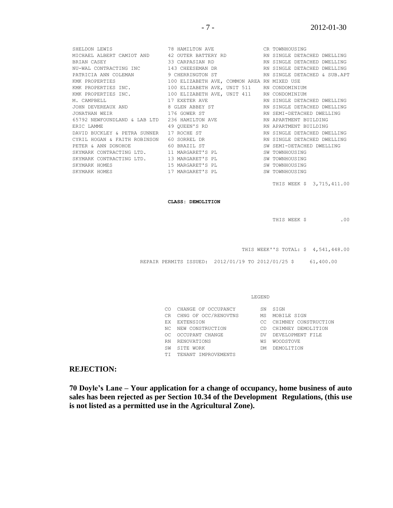| SHELDON LEWIS                             | 78 HAMILTON AVE CR TOWNHOUSING                                            |                             |
|-------------------------------------------|---------------------------------------------------------------------------|-----------------------------|
|                                           | MICHAEL ALBERT CAMIOT AND 42 OUTER BATTERY RD RN SINGLE DETACHED DWELLING |                             |
|                                           |                                                                           |                             |
|                                           | NU-WAL CONTRACTING INC 143 CHEESEMAN DR NORM RN SINGLE DETACHED DWELLING  |                             |
|                                           | PATRICIA ANN COLEMAN 9 CHERRINGTON ST RN SINGLE DETACHED & SUB.APT        |                             |
| KMK PROPERTIES                            | 100 ELIZABETH AVE, COMMON AREA RN MIXED USE                               |                             |
| KMK PROPERTIES INC.                       | 100 ELIZABETH AVE, UNIT 511 RN CONDOMINIUM                                |                             |
|                                           | KMK PROPERTIES INC. 100 ELIZABETH AVE, UNIT 411 RN CONDOMINIUM            |                             |
| M. CAMPBELL                               | 17 EXETER AVE <b>ALCORY SERVICE SETAGE ARE DETACHED DWELLING</b>          |                             |
|                                           | JOHN DEVEREAUX AND 8 GLEN ABBEY ST                                        | RN SINGLE DETACHED DWELLING |
| 176 GOWER ST<br>JONATHAN WEIR             |                                                                           | RN SEMI-DETACHED DWELLING   |
|                                           | 65792 NEWFOUNDLAND & LAB LTD 236 HAMILTON AVE NET RN APARTMENT BUILDING   |                             |
| ERIC LAMME                                | 49 OUEEN'S RD                                                             | RN APARTMENT BUILDING       |
| DAVID BUCKLEY & PETRA SUNNER 17 ROCHE ST  |                                                                           | RN SINGLE DETACHED DWELLING |
| CYRIL HOGAN & FAITH ROBINSON 60 SORREL DR |                                                                           | RN SINGLE DETACHED DWELLING |
|                                           | PETER & ANN DONOHOE 60 BRAZIL ST                                          | SW SEMI-DETACHED DWELLING   |
|                                           | SKYMARK CONTRACTING LTD. 11 MARGARET'S PL                                 | SW TOWNHOUSING              |
|                                           | SKYMARK CONTRACTING LTD. 13 MARGARET'S PL                                 | SW TOWNHOUSING              |
| SKYMARK HOMES                             | 15 MARGARET'S PL                                                          | SW TOWNHOUSING              |
| SKYMARK HOMES                             | 17 MARGARET'S PL                                                          | SW TOWNHOUSING              |
|                                           |                                                                           |                             |

THIS WEEK \$ 3,715,411.00

**CLASS: DEMOLITION**

THIS WEEK \$ .00

THIS WEEK''S TOTAL: \$ 4,541,448.00

REPAIR PERMITS ISSUED: 2012/01/19 TO 2012/01/25 \$ 61,400.00

LEGEND

| CО  | CHANGE OF OCCUPANCY  | SN  | STGN                 |
|-----|----------------------|-----|----------------------|
| CR  | CHNG OF OCC/RENOVTNS | МS  | MOBILE SIGN          |
| F.X | <b>EXTENSION</b>     | CC. | CHIMNEY CONSTRUCTION |
| NC. | NEW CONSTRUCTION     | Μn  | CHIMNEY DEMOLITION   |
| OC. | OCCUPANT CHANGE      | DV. | DEVELOPMENT FILE     |
| RN  | <b>RENOVATIONS</b>   | ΜS  | <b>WOODSTOVE</b>     |
| SW  | SITE WORK            | DМ  | DEMOLITTION          |
| ТT  | TENANT IMPROVEMENTS  |     |                      |

#### **REJECTION:**

**70 Doyle's Lane – Your application for a change of occupancy, home business of auto sales has been rejected as per Section 10.34 of the Development Regulations, (this use is not listed as a permitted use in the Agricultural Zone).**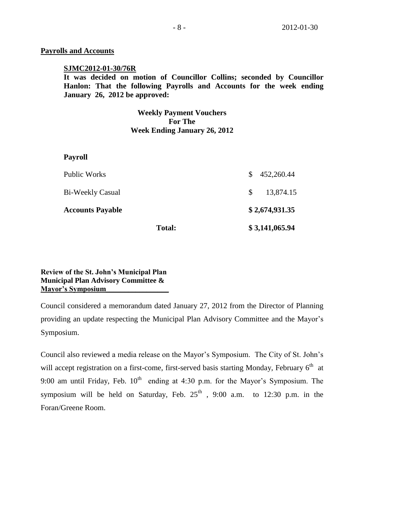#### **Payrolls and Accounts**

#### **SJMC2012-01-30/76R**

**It was decided on motion of Councillor Collins; seconded by Councillor Hanlon: That the following Payrolls and Accounts for the week ending January 26, 2012 be approved:** 

#### **Weekly Payment Vouchers For The Week Ending January 26, 2012**

#### **Payroll**

|                         | <b>Total:</b> |                | \$3,141,065.94 |  |
|-------------------------|---------------|----------------|----------------|--|
| <b>Accounts Payable</b> |               | \$2,674,931.35 |                |  |
| Bi-Weekly Casual        |               | <sup>S</sup>   | 13,874.15      |  |
| Public Works            |               | S.             | 452,260.44     |  |

## **Review of the St. John's Municipal Plan Municipal Plan Advisory Committee & Mayor's Symposium\_\_\_\_\_\_\_\_\_\_\_\_\_\_\_\_\_**

Council considered a memorandum dated January 27, 2012 from the Director of Planning providing an update respecting the Municipal Plan Advisory Committee and the Mayor's Symposium.

Council also reviewed a media release on the Mayor's Symposium. The City of St. John's will accept registration on a first-come, first-served basis starting Monday, February  $6<sup>th</sup>$  at 9:00 am until Friday, Feb.  $10^{th}$  ending at 4:30 p.m. for the Mayor's Symposium. The symposium will be held on Saturday, Feb.  $25<sup>th</sup>$ , 9:00 a.m. to 12:30 p.m. in the Foran/Greene Room.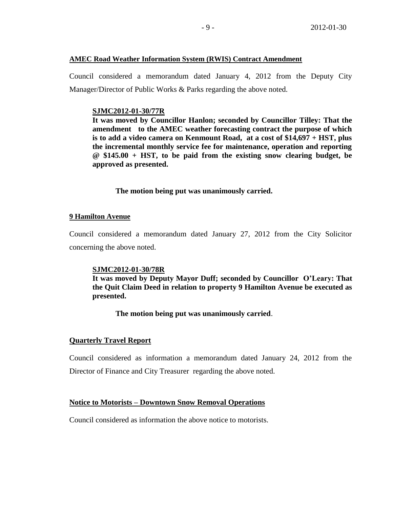#### **AMEC Road Weather Information System (RWIS) Contract Amendment**

Council considered a memorandum dated January 4, 2012 from the Deputy City Manager/Director of Public Works & Parks regarding the above noted.

#### **SJMC2012-01-30/77R**

**It was moved by Councillor Hanlon; seconded by Councillor Tilley: That the amendment to the AMEC weather forecasting contract the purpose of which is to add a video camera on Kenmount Road, at a cost of \$14,697 + HST, plus the incremental monthly service fee for maintenance, operation and reporting @ \$145.00 + HST, to be paid from the existing snow clearing budget, be approved as presented.** 

#### **The motion being put was unanimously carried.**

#### **9 Hamilton Avenue**

Council considered a memorandum dated January 27, 2012 from the City Solicitor concerning the above noted.

#### **SJMC2012-01-30/78R**

**It was moved by Deputy Mayor Duff; seconded by Councillor O'Leary: That the Quit Claim Deed in relation to property 9 Hamilton Avenue be executed as presented.**

## **The motion being put was unanimously carried**.

#### **Quarterly Travel Report**

Council considered as information a memorandum dated January 24, 2012 from the Director of Finance and City Treasurer regarding the above noted.

## **Notice to Motorists – Downtown Snow Removal Operations**

Council considered as information the above notice to motorists.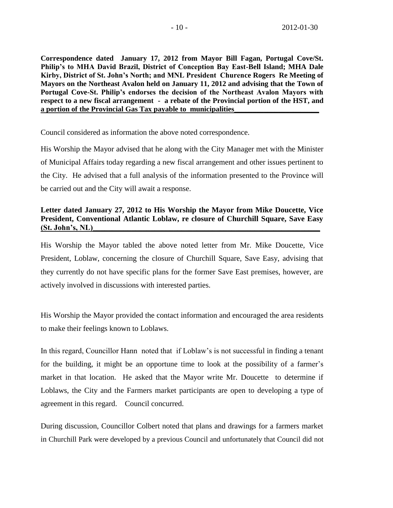**Correspondence dated January 17, 2012 from Mayor Bill Fagan, Portugal Cove/St. Philip's to MHA David Brazil, District of Conception Bay East-Bell Island; MHA Dale Kirby, District of St. John's North; and MNL President Churence Rogers Re Meeting of Mayors on the Northeast Avalon held on January 11, 2012 and advising that the Town of Portugal Cove-St. Philip's endorses the decision of the Northeast Avalon Mayors with respect to a new fiscal arrangement - a rebate of the Provincial portion of the HST, and a portion of the Provincial Gas Tax payable to municipalities\_\_\_\_\_\_\_\_\_\_\_\_\_\_\_\_\_\_\_\_\_\_\_**

Council considered as information the above noted correspondence.

His Worship the Mayor advised that he along with the City Manager met with the Minister of Municipal Affairs today regarding a new fiscal arrangement and other issues pertinent to the City. He advised that a full analysis of the information presented to the Province will be carried out and the City will await a response.

## **Letter dated January 27, 2012 to His Worship the Mayor from Mike Doucette, Vice President, Conventional Atlantic Loblaw, re closure of Churchill Square, Save Easy (St. John's, NL)\_\_\_\_\_\_\_\_\_\_\_\_\_\_\_\_\_\_\_\_\_\_\_\_\_\_\_\_\_\_\_\_\_\_\_\_\_\_\_\_\_\_\_\_\_\_\_\_\_\_\_\_\_\_\_\_\_\_\_**

His Worship the Mayor tabled the above noted letter from Mr. Mike Doucette, Vice President, Loblaw, concerning the closure of Churchill Square, Save Easy, advising that they currently do not have specific plans for the former Save East premises, however, are actively involved in discussions with interested parties.

His Worship the Mayor provided the contact information and encouraged the area residents to make their feelings known to Loblaws.

In this regard, Councillor Hann noted that if Loblaw's is not successful in finding a tenant for the building, it might be an opportune time to look at the possibility of a farmer's market in that location. He asked that the Mayor write Mr. Doucette to determine if Loblaws, the City and the Farmers market participants are open to developing a type of agreement in this regard. Council concurred.

During discussion, Councillor Colbert noted that plans and drawings for a farmers market in Churchill Park were developed by a previous Council and unfortunately that Council did not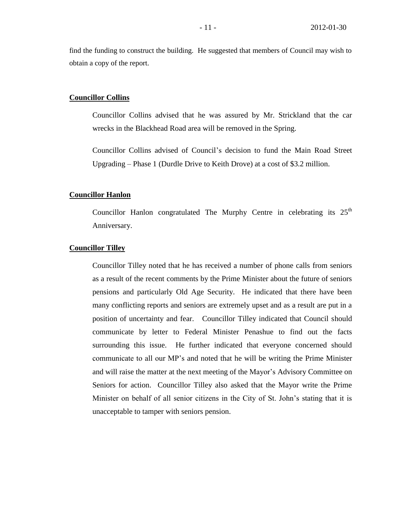find the funding to construct the building. He suggested that members of Council may wish to obtain a copy of the report.

#### **Councillor Collins**

Councillor Collins advised that he was assured by Mr. Strickland that the car wrecks in the Blackhead Road area will be removed in the Spring.

Councillor Collins advised of Council's decision to fund the Main Road Street Upgrading – Phase 1 (Durdle Drive to Keith Drove) at a cost of \$3.2 million.

#### **Councillor Hanlon**

Councillor Hanlon congratulated The Murphy Centre in celebrating its 25<sup>th</sup> Anniversary.

#### **Councillor Tilley**

Councillor Tilley noted that he has received a number of phone calls from seniors as a result of the recent comments by the Prime Minister about the future of seniors pensions and particularly Old Age Security. He indicated that there have been many conflicting reports and seniors are extremely upset and as a result are put in a position of uncertainty and fear. Councillor Tilley indicated that Council should communicate by letter to Federal Minister Penashue to find out the facts surrounding this issue. He further indicated that everyone concerned should communicate to all our MP's and noted that he will be writing the Prime Minister and will raise the matter at the next meeting of the Mayor's Advisory Committee on Seniors for action. Councillor Tilley also asked that the Mayor write the Prime Minister on behalf of all senior citizens in the City of St. John's stating that it is unacceptable to tamper with seniors pension.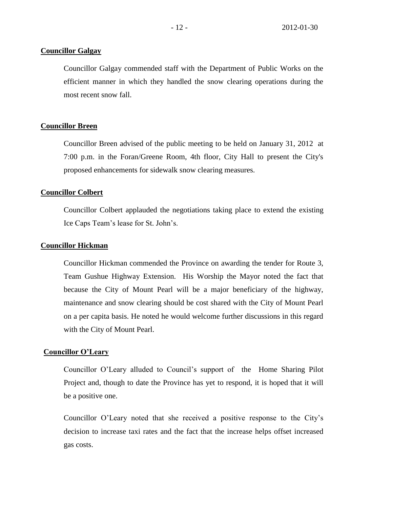#### **Councillor Galgay**

Councillor Galgay commended staff with the Department of Public Works on the efficient manner in which they handled the snow clearing operations during the most recent snow fall.

#### **Councillor Breen**

Councillor Breen advised of the public meeting to be held on January 31, 2012 at 7:00 p.m. in the Foran/Greene Room, 4th floor, City Hall to present the City's proposed enhancements for sidewalk snow clearing measures.

#### **Councillor Colbert**

Councillor Colbert applauded the negotiations taking place to extend the existing Ice Caps Team's lease for St. John's.

#### **Councillor Hickman**

Councillor Hickman commended the Province on awarding the tender for Route 3, Team Gushue Highway Extension. His Worship the Mayor noted the fact that because the City of Mount Pearl will be a major beneficiary of the highway, maintenance and snow clearing should be cost shared with the City of Mount Pearl on a per capita basis. He noted he would welcome further discussions in this regard with the City of Mount Pearl.

#### **Councillor O'Leary**

Councillor O'Leary alluded to Council's support of the Home Sharing Pilot Project and, though to date the Province has yet to respond, it is hoped that it will be a positive one.

Councillor O'Leary noted that she received a positive response to the City's decision to increase taxi rates and the fact that the increase helps offset increased gas costs.